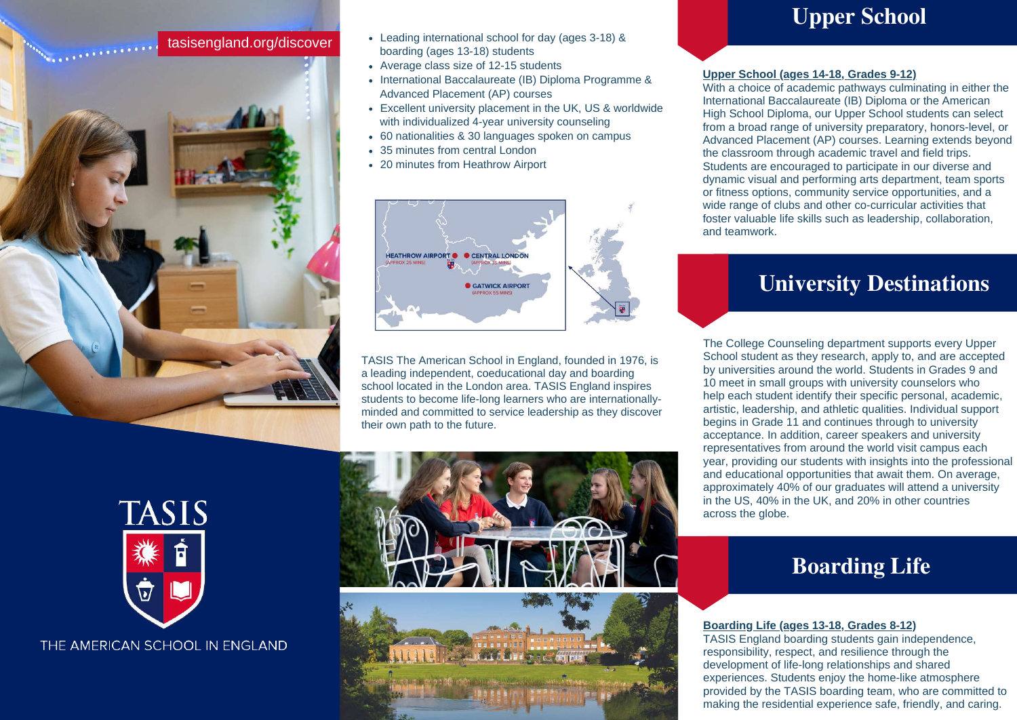

- Leading international school for day (ages 3-18) & boarding (ages 13-18) students
- Average class size of 12-15 students
- International Baccalaureate (IB) Diploma Programme & Advanced Placement (AP) courses
- Excellent university placement in the UK, US & worldwide with individualized 4-year university counseling
- 60 nationalities & 30 languages spoken on campus
- 35 minutes from central London
- 20 minutes from Heathrow Airport



TASIS The American School in England, founded in 1976, is a leading independent, coeducational day and boarding school located in the London area. TASIS England inspires students to become life-long learners who are internationallyminded and committed to service leadership as they discover their own path to the future.



## **Upper School (ages 14-18, Grades 9-12)**

With a choice of academic pathways culminating in either the International Baccalaureate (IB) Diploma or the American High School Diploma, our Upper School students can select from a broad range of university preparatory, honors-level, or Advanced Placement (AP) courses. Learning extends beyond the classroom through academic travel and field trips. Students are encouraged to participate in our diverse and dynamic visual and performing arts department, team sports or fitness options, community service opportunities, and a wide range of clubs and other co-curricular activities that foster valuable life skills such as leadership, collaboration, and teamwork.



# **Upper School**

The College Counseling department supports every Upper School student as they research, apply to, and are accepted by universities around the world. Students in Grades 9 and 10 meet in small groups with university counselors who help each student identify their specific personal, academic, artistic, leadership, and athletic qualities. Individual support begins in Grade 11 and continues through to university acceptance. In addition, career speakers and university representatives from around the world visit campus each year, providing our students with insights into the professional and educational opportunities that await them. On average, approximately 40% of our graduates will attend a university in the US, 40% in the UK, and 20% in other countries

across the globe.

## **Boarding Life (ages 13-18, Grades 8-12)**

TASIS England boarding students gain independence, responsibility, respect, and resilience through the development of life-long relationships and shared experiences. Students enjoy the home-like atmosphere provided by the TASIS boarding team, who are committed to making the residential experience safe, friendly, and caring.



THE AMERICAN SCHOOL IN ENGLAND

# **University Destinations**

# **Boarding Life**